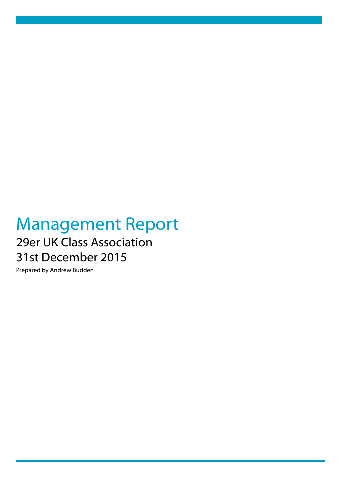## Management Report 29er UK Class Association 31st December 2015

Prepared by Andrew Budden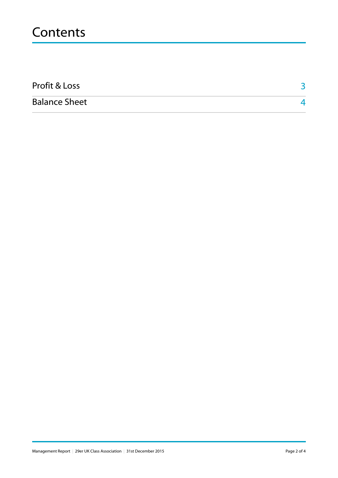## **Contents**

| Profit & Loss        |  |
|----------------------|--|
| <b>Balance Sheet</b> |  |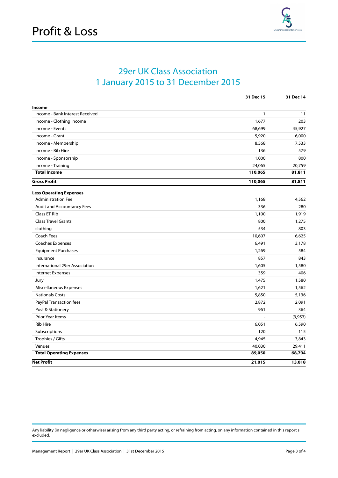

## 29er UK Class Association 1 January 2015 to 31 December 2015

|                                 | 31 Dec 15    | 31 Dec 14 |
|---------------------------------|--------------|-----------|
| Income                          |              |           |
| Income - Bank Interest Received | $\mathbf{1}$ | 11        |
| Income - Clothing Income        | 1,677        | 203       |
| Income - Events                 | 68,699       | 45,927    |
| Income - Grant                  | 5,920        | 6,000     |
| Income - Membership             | 8,568        | 7,533     |
| Income - Rib Hire               | 136          | 579       |
| Income - Sponsorship            | 1,000        | 800       |
| Income - Training               | 24,065       | 20,759    |
| <b>Total Income</b>             | 110,065      | 81,811    |
| <b>Gross Profit</b>             | 110,065      | 81,811    |
| <b>Less Operating Expenses</b>  |              |           |
| <b>Administration Fee</b>       | 1,168        | 4,562     |
| Audit and Accountancy Fees      | 336          | 280       |
| <b>Class ET Rib</b>             | 1,100        | 1,919     |
| <b>Class Travel Grants</b>      | 800          | 1,275     |
| clothing                        | 534          | 803       |
| Coach Fees                      | 10,607       | 6,625     |
| Coaches Expenses                | 6,491        | 3,178     |
| <b>Equipment Purchases</b>      | 1,269        | 584       |
| Insurance                       | 857          | 843       |
| International 29er Association  | 1,605        | 1,580     |
| <b>Internet Expenses</b>        | 359          | 406       |
| Jury                            | 1,475        | 1,580     |
| Miscellaneous Expenses          | 1,621        | 1,562     |
| <b>Nationals Costs</b>          | 5,850        | 5,136     |
| PayPal Transaction fees         | 2,872        | 2,091     |
| Post & Stationery               | 961          | 364       |
| <b>Prior Year Items</b>         |              | (3,953)   |
| <b>Rib Hire</b>                 | 6,051        | 6,590     |
| Subscriptions                   | 120          | 115       |
| Trophies / Gifts                | 4,945        | 3,843     |
| Venues                          | 40,030       | 29,411    |
| <b>Total Operating Expenses</b> | 89,050       | 68,794    |
| <b>Net Profit</b>               | 21,015       | 13,018    |

Any liability (in negligence or otherwise) arising from any third party acting, or refraining from acting, on any information contained in this report s excluded.